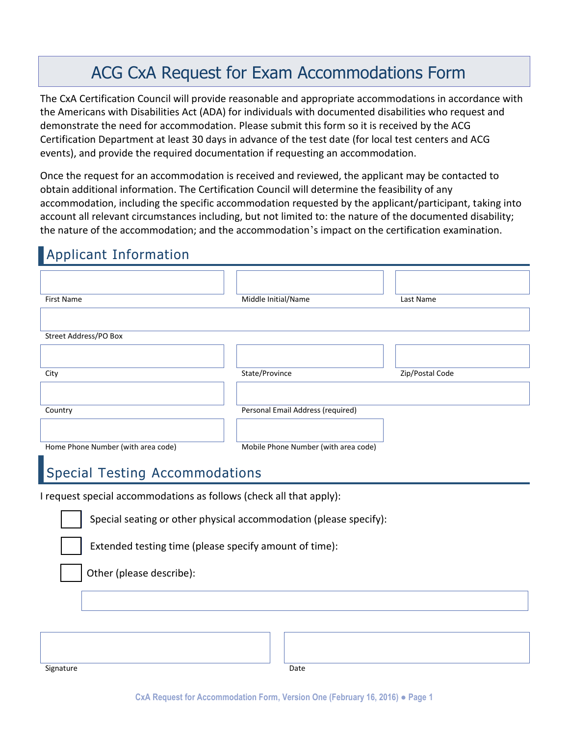## ACG CxA Request for Exam Accommodations Form

The CxA Certification Council will provide reasonable and appropriate accommodations in accordance with the Americans with Disabilities Act (ADA) for individuals with documented disabilities who request and demonstrate the need for accommodation. Please submit this form so it is received by the ACG Certification Department at least 30 days in advance of the test date (for local test centers and ACG events), and provide the required documentation if requesting an accommodation.

Once the request for an accommodation is received and reviewed, the applicant may be contacted to obtain additional information. The Certification Council will determine the feasibility of any accommodation, including the specific accommodation requested by the applicant/participant, taking into account all relevant circumstances including, but not limited to: the nature of the documented disability; the nature of the accommodation; and the accommodation's impact on the certification examination.

## Applicant Information

| <b>First Name</b>                                                   | Middle Initial/Name                  | Last Name       |  |  |
|---------------------------------------------------------------------|--------------------------------------|-----------------|--|--|
|                                                                     |                                      |                 |  |  |
| Street Address/PO Box                                               |                                      |                 |  |  |
|                                                                     |                                      |                 |  |  |
| City                                                                | State/Province                       | Zip/Postal Code |  |  |
|                                                                     |                                      |                 |  |  |
| Country                                                             | Personal Email Address (required)    |                 |  |  |
|                                                                     |                                      |                 |  |  |
| Home Phone Number (with area code)                                  | Mobile Phone Number (with area code) |                 |  |  |
| Special Testing Accommodations                                      |                                      |                 |  |  |
| I request special accommodations as follows (check all that apply): |                                      |                 |  |  |
| Special seating or other physical accommodation (please specify):   |                                      |                 |  |  |
|                                                                     |                                      |                 |  |  |
| Extended testing time (please specify amount of time):              |                                      |                 |  |  |
| Other (please describe):                                            |                                      |                 |  |  |
|                                                                     |                                      |                 |  |  |
|                                                                     |                                      |                 |  |  |
|                                                                     |                                      |                 |  |  |
|                                                                     |                                      |                 |  |  |
| Signature                                                           | Date                                 |                 |  |  |